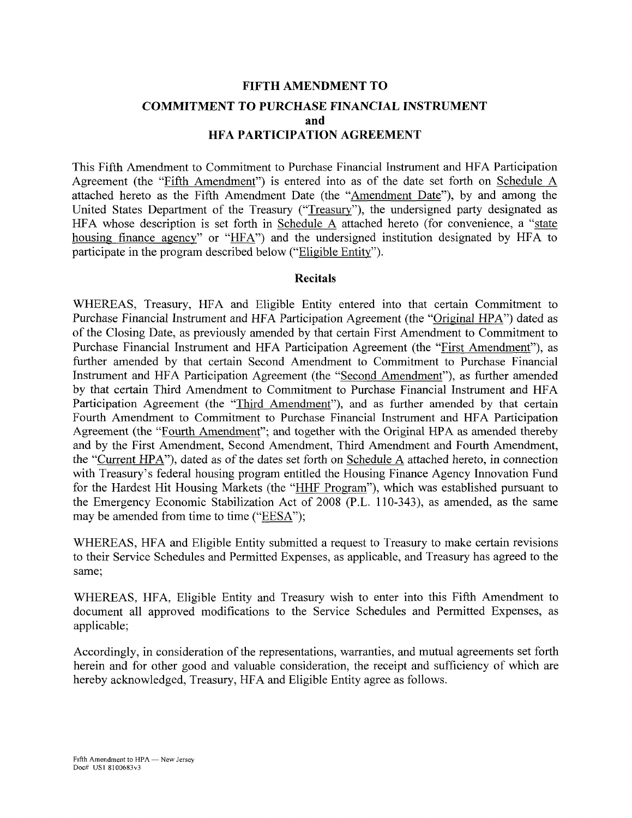# **FIFTH AMENDMENT TO COMMITMENT TO PURCHASE FINANCIAL INSTRUMENT and HFA PARTICIPATION AGREEMENT**

This Fifth Amendment to Commitment to Purchase Financial Instrument and HFA Participation Agreement (the "Fifth Amendment") is entered into as of the date set forth on Schedule A attached hereto as the Fifth Amendment Date (the "Amendment Date"), by and among the United States Department of the Treasury ("Treasury"), the undersigned party designated as HFA whose description is set forth in Schedule A attached hereto (for convenience, a "state housing finance agency" or "HFA") and the undersigned institution designated by HFA to participate in the program described below ("Eligible Entity").

### **Recitals**

WHEREAS, Treasury, HFA and Eligible Entity entered into that certain Commitment to Purchase Financial Instrument and HFA Participation Agreement (the "Original HPA") dated as of the Closing Date, as previously amended by that certain First Amendment to Commitment to Purchase Financial Instrument and HFA Participation Agreement (the "First Amendment"), as further amended by that certain Second Amendment to Commitment to Purchase Financial Instrument and HFA Participation Agreement (the "Second Amendment"), as further amended by that certain Third Amendment to Commitment to Purchase Financial Instrument and HFA Participation Agreement (the "Third Amendment"), and as further amended by that certain Fourth Amendment to Commitment to Purchase Financial Instrument and HFA Participation Agreement (the "Fourth Amendment"; and together with the Original HPA as amended thereby and by the First Amendment, Second Amendment, Third Amendment and Fourth Amendment, the "Current HPA"), dated as of the dates set forth on Schedule A attached hereto, in connection with Treasury's federal housing program entitled the Housing Finance Agency Innovation Fund for the Hardest Hit Housing Markets (the "HHF Program"), which was established pursuant to the Emergency Economic Stabilization Act of 2008 (P.L. 110-343), as amended, as the same may be amended from time to time ("EESA");

WHEREAS, HFA and Eligible Entity submitted a request to Treasury to make certain revisions to their Service Schedules and Permitted Expenses, as applicable, and Treasury has agreed to the same;

WHEREAS, HFA, Eligible Entity and Treasury wish to enter into this Fifth Amendment to document all approved modifications to the Service Schedules and Permitted Expenses, as applicable;

Accordingly, in consideration of the representations, warranties, and mutual agreements set forth herein and for other good and valuable consideration, the receipt and sufficiency of which are hereby acknowledged, Treasury, HFA and Eligible Entity agree as follows.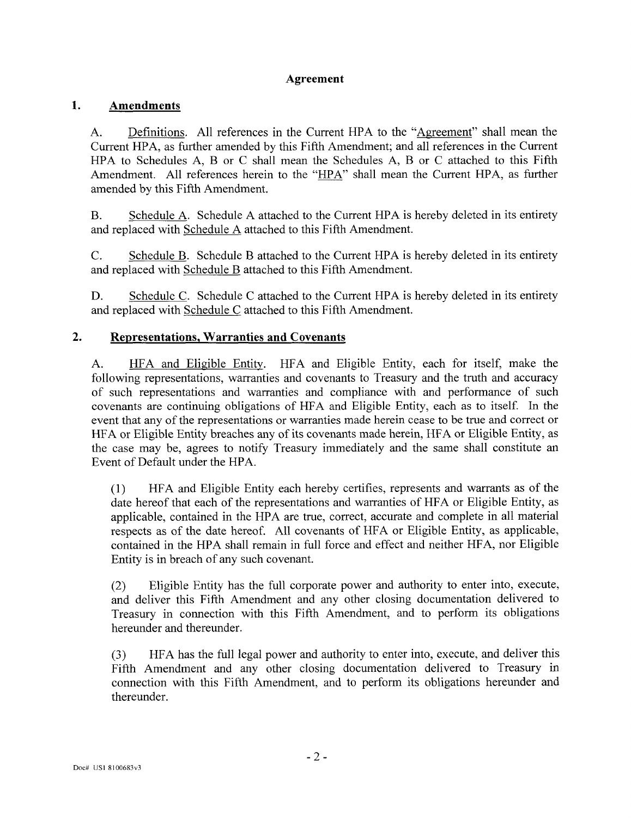# **Agreement**

#### 1. **Amendments**

A. Definitions. All references in the Current HPA to the "Agreement" shall mean the Current HPA, as further amended by this Fifth Amendment; and all references in the Current HPA to Schedules A, B or C shall mean the Schedules A, B or C attached to this Fifth Amendment. All references herein to the "HPA" shall mean the Current HPA, as further amended by this Fifth Amendment.

B. Schedule A. Schedule A attached to the Current HPA is hereby deleted in its entirety and replaced with Schedule A attached to this Fifth Amendment.

C. Schedule B. Schedule B attached to the Current HPA is hereby deleted in its entirety and replaced with Schedule B attached to this Fifth Amendment.

D. Schedule C. Schedule C attached to the Current HPA is hereby deleted in its entirety and replaced with Schedule C attached to this Fifth Amendment.

#### $2.$ **Representations, Warranties and Covenants**

A. HFA and Eligible Entity. HFA and Eligible Entity, each for itself, make the following representations, warranties and covenants to Treasury and the truth and accuracy of such representations and warranties and compliance with and performance of such covenants are continuing obligations of HFA and Eligible Entity, each as to itself. In the event that any of the representations or warranties made herein cease to be true and correct or HFA or Eligible Entity breaches any of its covenants made herein, HFA or Eligible Entity, as the case may be, agrees to notify Treasury immediately and the same shall constitute an Event of Default under the HPA.

(1) HFA and Eligible Entity each hereby certifies, represents and warrants as of the date hereof that each of the representations and warranties of HFA or Eligible Entity, as applicable, contained in the HPA are true, correct, accurate and complete in all material respects as of the date hereof. All covenants of HFA or Eligible Entity, as applicable, contained in the HPA shall remain in full force and effect and neither HFA, nor Eligible Entity is in breach of any such covenant.

(2) Eligible Entity has the full corporate power and authority to enter into, execute, and deliver this Fifth Amendment and any other closing documentation delivered to Treasury in connection with this Fifth Amendment, and to perform its obligations hereunder and thereunder.

(3) HFA has the full legal power and authority to enter into, execute, and deliver this Fifth Amendment and any other closing documentation delivered to Treasury in connection with this Fifth Amendment, and to perform its obligations hereunder and thereunder.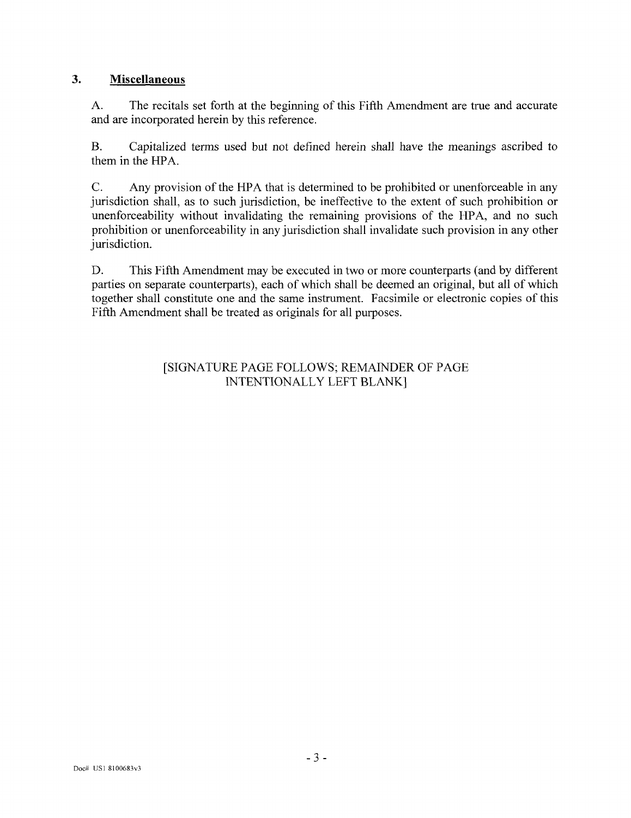#### **3. Miscellaneous**

A. The recitals set forth at the beginning of this Fifth Amendment are true and accurate and are incorporated herein by this reference.

B. Capitalized terms used but not defined herein shall have the meanings ascribed to them in the HPA.

C. Any provision of the HPA that is determined to be prohibited or unenforceable in any jurisdiction shall, as to such jurisdiction, be ineffective to the extent of such prohibition or unenforceability without invalidating the remaining provisions of the HPA, and no such prohibition or unenforceability in any jurisdiction shall invalidate such provision in any other jurisdiction.

D. This Fifth Amendment may be executed in two or more counterparts (and by different parties on separate counterparts), each of which shall be deemed an original, but all of which together shall constitute one and the same instrument. Facsimile or electronic copies of this Fifth Amendment shall be treated as originals for all purposes.

> [SIGNATURE PAGE FOLLOWS; REMAINDER OF PAGE INTENTIONALLY LEFT BLANK]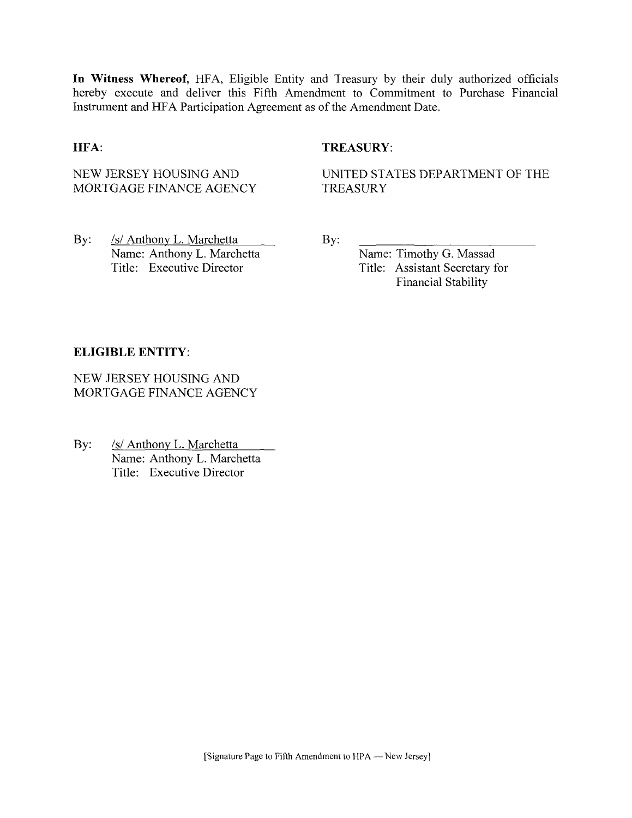**In Witness Whereof,** HFA, Eligible Entity and Treasury by their duly authorized officials hereby execute and deliver this Fifth Amendment to Commitment to Purchase Financial Instrument and HFA Participation Agreement as of the Amendment Date.

## **HFA:** TREASURY:

NEW JERSEY HOUSING AND MORTGAGE FINANCE AGENCY UNITED STATES DEPARTMENT OF THE **TREASURY** 

By: /s/ Anthony L. Marchetta Name: Anthony L. Marchetta Title: Executive Director

By:

Name: Timothy G. Massad Title: Assistant Secretary for Financial Stability

### **ELIGIBLE ENTITY:**

NEW JERSEY HOUSING AND MORTGAGE FINANCE AGENCY

By: /s/ Anthony L. Marchetta Name: Anthony L. Marchetta Title: Executive Director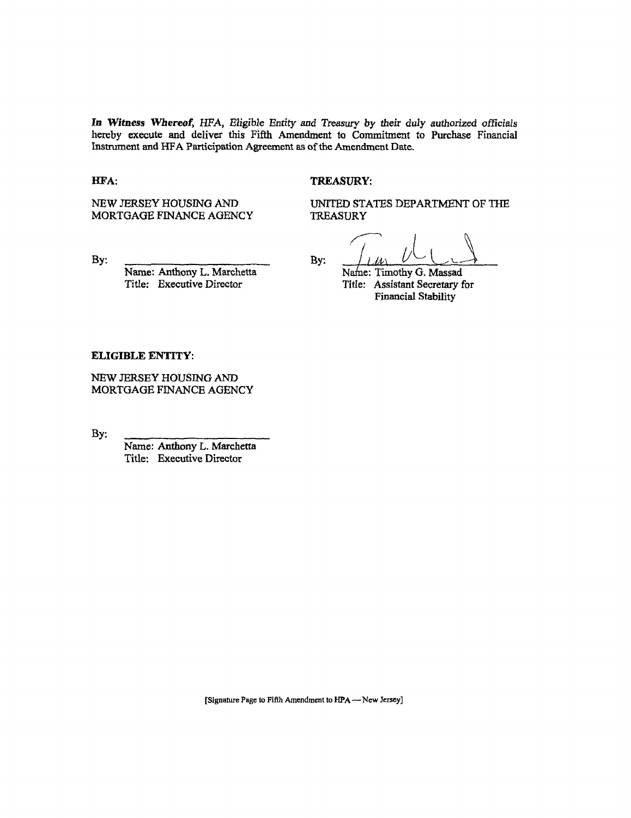**In Witness Whereof,** HFA, Eligibie Enrity and Treasury by their duly authorized officiais hereby execute and deliver this Fifth Amendment to Commitment to Purchase Financial Instrument and HFA Participation Agreement as of the Amendment Date.

#### **HFA:** TREASURY:

NEW JERSEY HOUSING AND MORTGAGE FINANCE AGENCY UNITED STATES DEPARTMENT OF THE TREASURY

By:

Name: Anthony L. Marchetta Title: Executive Director

By:  $\frac{1}{M}$   $\frac{1}{M}$   $\frac{1}{M}$ Title: Assistant Secretary for Financial Stability

#### **ELIGIBLE ENTITY:**

NEW JERSEY HOUSING AND MORTGAGE FINANCE AGENCY

By:

Name: Anthony L. Marchetta Title: Executive Director

[Signature Page to Fifth Amendment to HPA—New Jersey]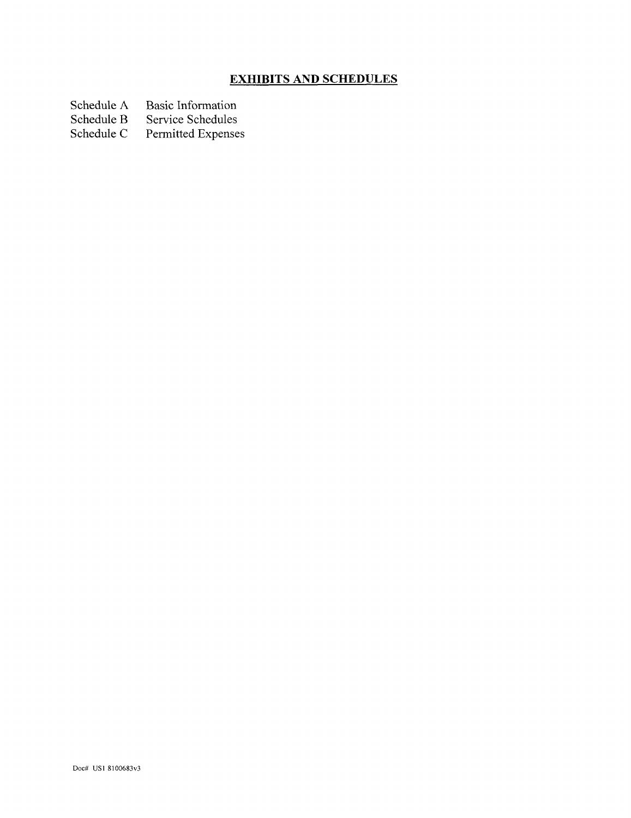# **EXHIBITS AND SCHEDULES**

Schedule A Basic Information<br>Schedule B Service Schedules

Schedule B Service Schedules<br>Schedule C Permitted Expense

Permitted Expenses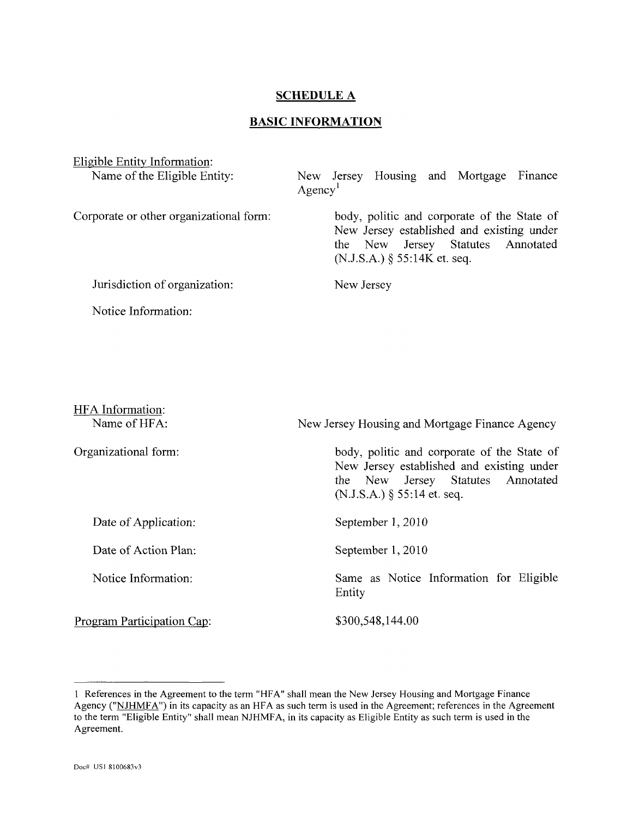## **SCHEDULE A**

## **BASIC INFORMATION**

Eligible Entity Information: Name of the Eligible Entity:

New Jersey Housing and Mortgage Finance  $Agency<sup>1</sup>$ 

Corporate or other organizational form:

body, politic and corporate of the State of New Jersey established and existing under the New Jersey Statutes Annotated  $(N.J.S.A.)$  § 55:14K et. seq.

Jurisdiction of organization:

Notice Information:

New Jersey

| HFA Information:<br>Name of HFA: | New Jersey Housing and Mortgage Finance Agency                                                                                                                 |  |
|----------------------------------|----------------------------------------------------------------------------------------------------------------------------------------------------------------|--|
| Organizational form:             | body, politic and corporate of the State of<br>New Jersey established and existing under<br>the New Jersey Statutes Annotated<br>$(N.J.S.A.)$ § 55:14 et. seq. |  |
| Date of Application:             | September 1, 2010                                                                                                                                              |  |
| Date of Action Plan:             | September 1, 2010                                                                                                                                              |  |
| Notice Information:              | Same as Notice Information for Eligible<br>Entity                                                                                                              |  |
| Program Participation Cap:       | \$300,548,144.00                                                                                                                                               |  |

<sup>1</sup> References in the Agreement to the term "HFA" shall mean the New Jersey Housing and Mortgage Finance Agency ("NJHMFA") in its capacity as an HFA as such term is used in the Agreement; references in the Agreement to the term "Eligible Entity" shall mean NJHMFA, in its capacity as Eligible Entity as such term is used in the Agreement.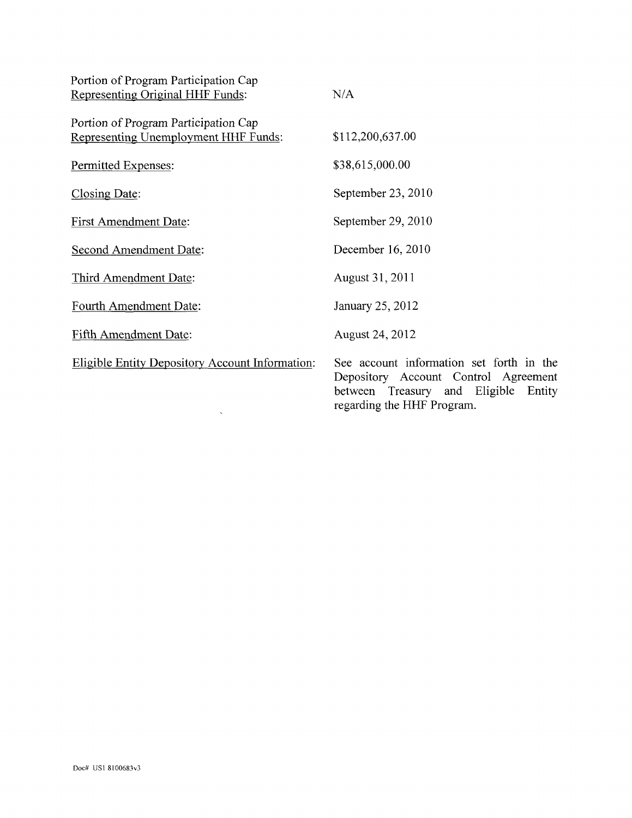| Portion of Program Participation Cap<br>Representing Original HHF Funds:     | N/A                                                                                                                                                       |
|------------------------------------------------------------------------------|-----------------------------------------------------------------------------------------------------------------------------------------------------------|
| Portion of Program Participation Cap<br>Representing Unemployment HHF Funds: | \$112,200,637.00                                                                                                                                          |
| Permitted Expenses:                                                          | \$38,615,000.00                                                                                                                                           |
| Closing Date:                                                                | September 23, 2010                                                                                                                                        |
| <b>First Amendment Date:</b>                                                 | September 29, 2010                                                                                                                                        |
| Second Amendment Date:                                                       | December 16, 2010                                                                                                                                         |
| Third Amendment Date:                                                        | August 31, 2011                                                                                                                                           |
| Fourth Amendment Date:                                                       | January 25, 2012                                                                                                                                          |
| Fifth Amendment Date:                                                        | August 24, 2012                                                                                                                                           |
| <b>Eligible Entity Depository Account Information:</b>                       | See account information set forth in the<br>Depository Account Control Agreement<br>between Treasury and Eligible<br>Entity<br>regarding the HHF Program. |

 $\mathcal{O}(\mathcal{O}_\mathcal{O})$  .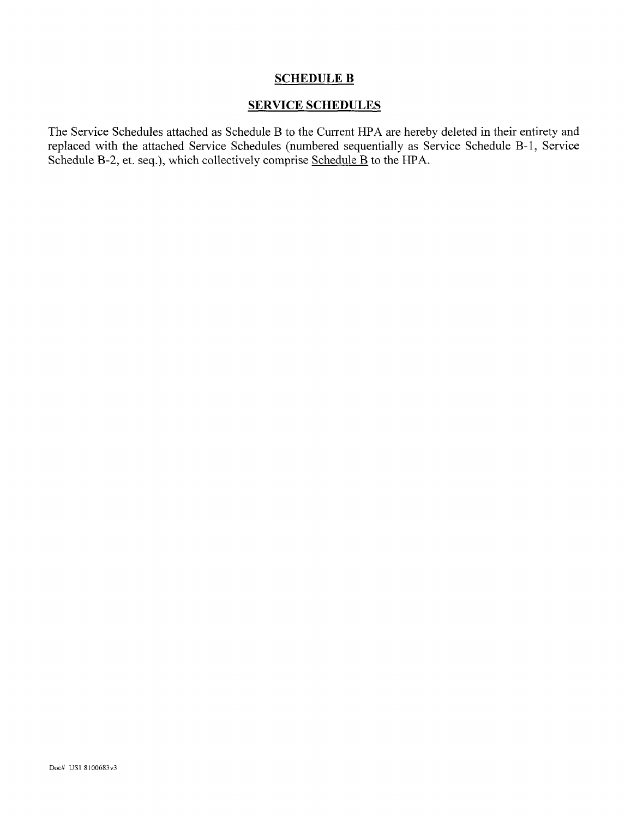# **SCHEDULE B**

## SERVICE SCHEDULES

The Service Schedules attached as Schedule B to the Current HPA are hereby deleted in their entirety and replaced with the attached Service Schedules (numbered sequentially as Service Schedule B-l, Service Schedule B-2, et. seq.), which collectively comprise Schedule B to the HPA.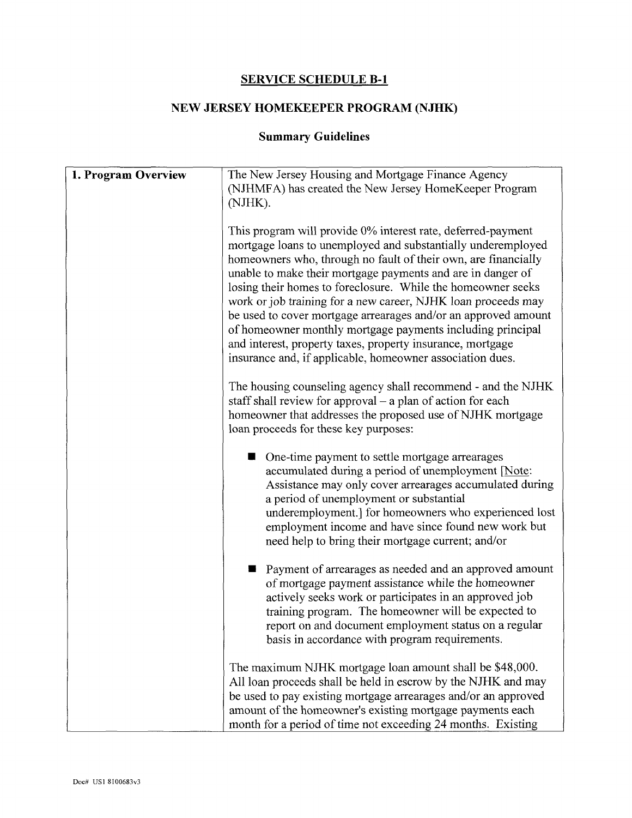# **SERVICE SCHEDULE B-l**

# **NEW JERSEY HOMEKEEPER PROGRAM (NJHK)**

# **Summary Guidelines**

| 1. Program Overview | The New Jersey Housing and Mortgage Finance Agency<br>(NJHMFA) has created the New Jersey HomeKeeper Program<br>(NJHK).                                                                                                                                                                                                                                                                                                                                                                                                                                                                                                                                   |
|---------------------|-----------------------------------------------------------------------------------------------------------------------------------------------------------------------------------------------------------------------------------------------------------------------------------------------------------------------------------------------------------------------------------------------------------------------------------------------------------------------------------------------------------------------------------------------------------------------------------------------------------------------------------------------------------|
|                     | This program will provide 0% interest rate, deferred-payment<br>mortgage loans to unemployed and substantially underemployed<br>homeowners who, through no fault of their own, are financially<br>unable to make their mortgage payments and are in danger of<br>losing their homes to foreclosure. While the homeowner seeks<br>work or job training for a new career, NJHK loan proceeds may<br>be used to cover mortgage arrearages and/or an approved amount<br>of homeowner monthly mortgage payments including principal<br>and interest, property taxes, property insurance, mortgage<br>insurance and, if applicable, homeowner association dues. |
|                     | The housing counseling agency shall recommend - and the NJHK<br>staff shall review for approval $-$ a plan of action for each<br>homeowner that addresses the proposed use of NJHK mortgage<br>loan proceeds for these key purposes:                                                                                                                                                                                                                                                                                                                                                                                                                      |
|                     | One-time payment to settle mortgage arrearages<br>accumulated during a period of unemployment [Note:<br>Assistance may only cover arrearages accumulated during<br>a period of unemployment or substantial<br>underemployment.] for homeowners who experienced lost<br>employment income and have since found new work but<br>need help to bring their mortgage current; and/or                                                                                                                                                                                                                                                                           |
|                     | Payment of arrearages as needed and an approved amount<br>of mortgage payment assistance while the homeowner<br>actively seeks work or participates in an approved job<br>training program. The homeowner will be expected to<br>report on and document employment status on a regular<br>basis in accordance with program requirements.                                                                                                                                                                                                                                                                                                                  |
|                     | The maximum NJHK mortgage loan amount shall be \$48,000.<br>All loan proceeds shall be held in escrow by the NJHK and may<br>be used to pay existing mortgage arrearages and/or an approved<br>amount of the homeowner's existing mortgage payments each<br>month for a period of time not exceeding 24 months. Existing                                                                                                                                                                                                                                                                                                                                  |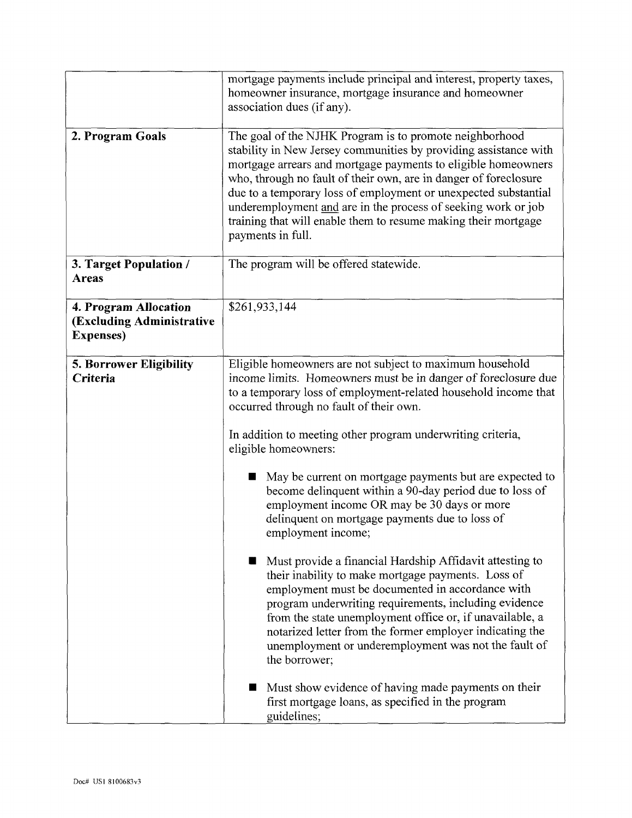|                                                                         | mortgage payments include principal and interest, property taxes,<br>homeowner insurance, mortgage insurance and homeowner<br>association dues (if any).                                                                                                                                                                                                                                                                                                                                                                                                                                                                                                                                                                                                                                                                                                                                                                                                                                                                                                                                                                                     |
|-------------------------------------------------------------------------|----------------------------------------------------------------------------------------------------------------------------------------------------------------------------------------------------------------------------------------------------------------------------------------------------------------------------------------------------------------------------------------------------------------------------------------------------------------------------------------------------------------------------------------------------------------------------------------------------------------------------------------------------------------------------------------------------------------------------------------------------------------------------------------------------------------------------------------------------------------------------------------------------------------------------------------------------------------------------------------------------------------------------------------------------------------------------------------------------------------------------------------------|
| 2. Program Goals                                                        | The goal of the NJHK Program is to promote neighborhood<br>stability in New Jersey communities by providing assistance with<br>mortgage arrears and mortgage payments to eligible homeowners<br>who, through no fault of their own, are in danger of foreclosure<br>due to a temporary loss of employment or unexpected substantial<br>underemployment and are in the process of seeking work or job<br>training that will enable them to resume making their mortgage<br>payments in full.                                                                                                                                                                                                                                                                                                                                                                                                                                                                                                                                                                                                                                                  |
| 3. Target Population /<br><b>Areas</b>                                  | The program will be offered statewide.                                                                                                                                                                                                                                                                                                                                                                                                                                                                                                                                                                                                                                                                                                                                                                                                                                                                                                                                                                                                                                                                                                       |
| 4. Program Allocation<br>(Excluding Administrative<br><b>Expenses</b> ) | \$261,933,144                                                                                                                                                                                                                                                                                                                                                                                                                                                                                                                                                                                                                                                                                                                                                                                                                                                                                                                                                                                                                                                                                                                                |
| <b>5. Borrower Eligibility</b><br>Criteria                              | Eligible homeowners are not subject to maximum household<br>income limits. Homeowners must be in danger of foreclosure due<br>to a temporary loss of employment-related household income that<br>occurred through no fault of their own.<br>In addition to meeting other program underwriting criteria,<br>eligible homeowners:<br>May be current on mortgage payments but are expected to<br>H<br>become delinquent within a 90-day period due to loss of<br>employment income OR may be 30 days or more<br>delinquent on mortgage payments due to loss of<br>employment income;<br>Must provide a financial Hardship Affidavit attesting to<br>their inability to make mortgage payments. Loss of<br>employment must be documented in accordance with<br>program underwriting requirements, including evidence<br>from the state unemployment office or, if unavailable, a<br>notarized letter from the former employer indicating the<br>unemployment or underemployment was not the fault of<br>the borrower;<br>Must show evidence of having made payments on their<br>first mortgage loans, as specified in the program<br>guidelines; |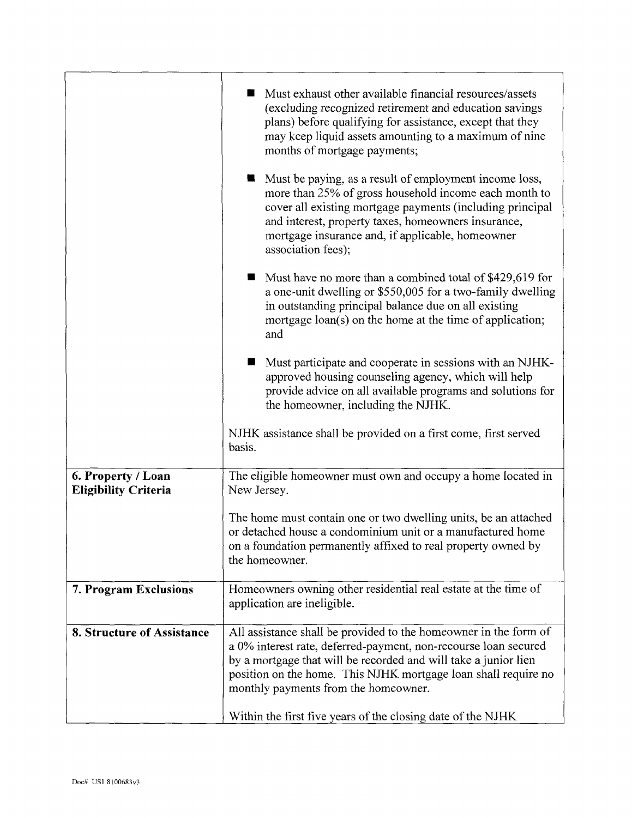|                                                   | Must exhaust other available financial resources/assets<br>(excluding recognized retirement and education savings<br>plans) before qualifying for assistance, except that they<br>may keep liquid assets amounting to a maximum of nine<br>months of mortgage payments;<br>Must be paying, as a result of employment income loss,<br>more than 25% of gross household income each month to<br>cover all existing mortgage payments (including principal<br>and interest, property taxes, homeowners insurance,<br>mortgage insurance and, if applicable, homeowner<br>association fees); |
|---------------------------------------------------|------------------------------------------------------------------------------------------------------------------------------------------------------------------------------------------------------------------------------------------------------------------------------------------------------------------------------------------------------------------------------------------------------------------------------------------------------------------------------------------------------------------------------------------------------------------------------------------|
|                                                   | Must have no more than a combined total of \$429,619 for<br>a one-unit dwelling or \$550,005 for a two-family dwelling<br>in outstanding principal balance due on all existing<br>mortgage loan(s) on the home at the time of application;<br>and                                                                                                                                                                                                                                                                                                                                        |
|                                                   | Must participate and cooperate in sessions with an NJHK-<br>approved housing counseling agency, which will help<br>provide advice on all available programs and solutions for<br>the homeowner, including the NJHK.                                                                                                                                                                                                                                                                                                                                                                      |
|                                                   | NJHK assistance shall be provided on a first come, first served<br>basis.                                                                                                                                                                                                                                                                                                                                                                                                                                                                                                                |
| 6. Property / Loan<br><b>Eligibility Criteria</b> | The eligible homeowner must own and occupy a home located in<br>New Jersey.                                                                                                                                                                                                                                                                                                                                                                                                                                                                                                              |
|                                                   | The home must contain one or two dwelling units, be an attached<br>or detached house a condominium unit or a manufactured home<br>on a foundation permanently affixed to real property owned by<br>the homeowner.                                                                                                                                                                                                                                                                                                                                                                        |
| 7. Program Exclusions                             | Homeowners owning other residential real estate at the time of<br>application are ineligible.                                                                                                                                                                                                                                                                                                                                                                                                                                                                                            |
| 8. Structure of Assistance                        | All assistance shall be provided to the homeowner in the form of<br>a 0% interest rate, deferred-payment, non-recourse loan secured<br>by a mortgage that will be recorded and will take a junior lien<br>position on the home. This NJHK mortgage loan shall require no<br>monthly payments from the homeowner.                                                                                                                                                                                                                                                                         |
|                                                   | Within the first five years of the closing date of the NJHK                                                                                                                                                                                                                                                                                                                                                                                                                                                                                                                              |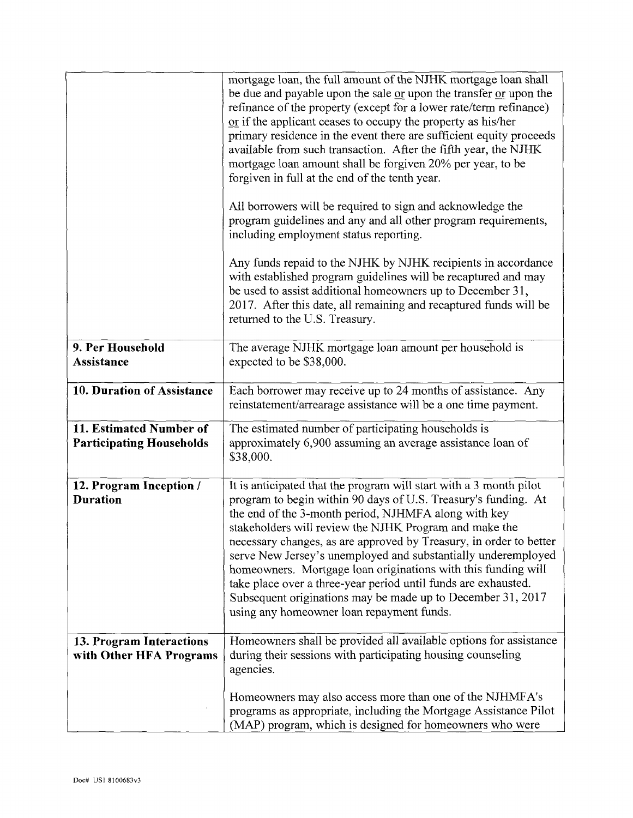|                                                            | mortgage loan, the full amount of the NJHK mortgage loan shall<br>be due and payable upon the sale or upon the transfer or upon the<br>refinance of the property (except for a lower rate/term refinance)<br>or if the applicant ceases to occupy the property as his/her<br>primary residence in the event there are sufficient equity proceeds<br>available from such transaction. After the fifth year, the NJHK<br>mortgage loan amount shall be forgiven 20% per year, to be<br>forgiven in full at the end of the tenth year.                                                                                                          |
|------------------------------------------------------------|----------------------------------------------------------------------------------------------------------------------------------------------------------------------------------------------------------------------------------------------------------------------------------------------------------------------------------------------------------------------------------------------------------------------------------------------------------------------------------------------------------------------------------------------------------------------------------------------------------------------------------------------|
|                                                            | All borrowers will be required to sign and acknowledge the<br>program guidelines and any and all other program requirements,<br>including employment status reporting.                                                                                                                                                                                                                                                                                                                                                                                                                                                                       |
|                                                            | Any funds repaid to the NJHK by NJHK recipients in accordance<br>with established program guidelines will be recaptured and may<br>be used to assist additional homeowners up to December 31,<br>2017. After this date, all remaining and recaptured funds will be<br>returned to the U.S. Treasury.                                                                                                                                                                                                                                                                                                                                         |
| 9. Per Household<br>Assistance                             | The average NJHK mortgage loan amount per household is<br>expected to be \$38,000.                                                                                                                                                                                                                                                                                                                                                                                                                                                                                                                                                           |
| 10. Duration of Assistance                                 | Each borrower may receive up to 24 months of assistance. Any<br>reinstatement/arrearage assistance will be a one time payment.                                                                                                                                                                                                                                                                                                                                                                                                                                                                                                               |
| 11. Estimated Number of<br><b>Participating Households</b> | The estimated number of participating households is<br>approximately 6,900 assuming an average assistance loan of<br>\$38,000.                                                                                                                                                                                                                                                                                                                                                                                                                                                                                                               |
| 12. Program Inception /<br><b>Duration</b>                 | It is anticipated that the program will start with a 3 month pilot<br>program to begin within 90 days of U.S. Treasury's funding. At<br>the end of the 3-month period, NJHMFA along with key<br>stakeholders will review the NJHK Program and make the<br>necessary changes, as are approved by Treasury, in order to better<br>serve New Jersey's unemployed and substantially underemployed<br>homeowners. Mortgage loan originations with this funding will<br>take place over a three-year period until funds are exhausted.<br>Subsequent originations may be made up to December 31, 2017<br>using any homeowner loan repayment funds. |
| 13. Program Interactions<br>with Other HFA Programs        | Homeowners shall be provided all available options for assistance<br>during their sessions with participating housing counseling<br>agencies.                                                                                                                                                                                                                                                                                                                                                                                                                                                                                                |
|                                                            | Homeowners may also access more than one of the NJHMFA's<br>programs as appropriate, including the Mortgage Assistance Pilot<br>(MAP) program, which is designed for homeowners who were                                                                                                                                                                                                                                                                                                                                                                                                                                                     |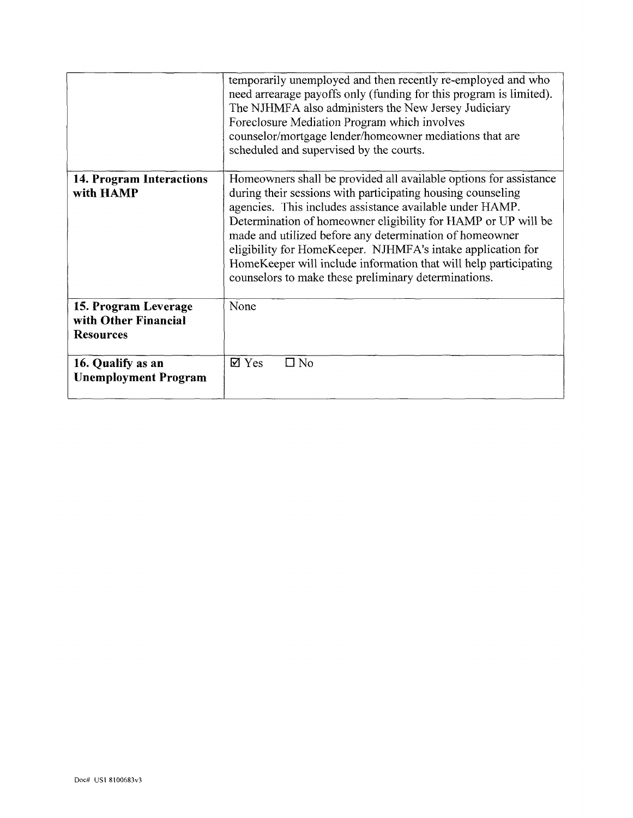|                                                                  | temporarily unemployed and then recently re-employed and who<br>need arrearage payoffs only (funding for this program is limited).<br>The NJHMFA also administers the New Jersey Judiciary<br>Foreclosure Mediation Program which involves<br>counselor/mortgage lender/homeowner mediations that are<br>scheduled and supervised by the courts.                                                                                                                                                                    |
|------------------------------------------------------------------|---------------------------------------------------------------------------------------------------------------------------------------------------------------------------------------------------------------------------------------------------------------------------------------------------------------------------------------------------------------------------------------------------------------------------------------------------------------------------------------------------------------------|
| 14. Program Interactions<br>with HAMP                            | Homeowners shall be provided all available options for assistance<br>during their sessions with participating housing counseling<br>agencies. This includes assistance available under HAMP.<br>Determination of homeowner eligibility for HAMP or UP will be<br>made and utilized before any determination of homeowner<br>eligibility for HomeKeeper. NJHMFA's intake application for<br>HomeKeeper will include information that will help participating<br>counselors to make these preliminary determinations. |
| 15. Program Leverage<br>with Other Financial<br><b>Resources</b> | None                                                                                                                                                                                                                                                                                                                                                                                                                                                                                                                |
| 16. Qualify as an<br><b>Unemployment Program</b>                 | $\square$ No<br>$\boxtimes$ Yes                                                                                                                                                                                                                                                                                                                                                                                                                                                                                     |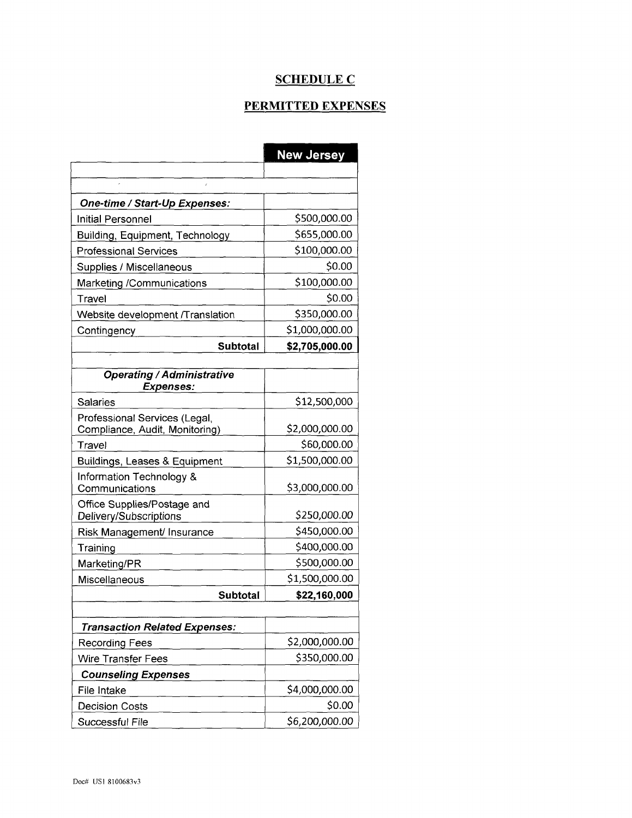# **SCHEDULE C**

# PERMITTED EXPENSES

|                                                       | <b>New Jersey</b> |
|-------------------------------------------------------|-------------------|
|                                                       |                   |
| One-time / Start-Up Expenses:                         |                   |
| Initial Personnel                                     | \$500,000.00      |
| Building, Equipment, Technology                       | \$655,000.00      |
| <b>Professional Services</b>                          | \$100,000.00      |
| Supplies / Miscellaneous                              | \$0.00            |
| Marketing /Communications                             | \$100,000.00      |
| Travel                                                | \$0.00            |
| Website development /Translation                      | \$350,000.00      |
| Contingency                                           | \$1,000,000.00    |
| Subtotal                                              | \$2,705,000.00    |
|                                                       |                   |
| <b>Operating / Administrative</b><br><b>Expenses:</b> |                   |
| Salaries                                              | \$12,500,000      |
| Professional Services (Legal,                         |                   |
| Compliance, Audit, Monitoring)                        | \$2,000,000.00    |
| Travel                                                | \$60,000.00       |
| Buildings, Leases & Equipment                         | \$1,500,000.00    |
| Information Technology &<br>Communications            | \$3,000,000.00    |
| Office Supplies/Postage and                           |                   |
| Delivery/Subscriptions                                | \$250,000.00      |
| Risk Management/ Insurance                            | \$450,000.00      |
| Training                                              | \$400,000.00      |
| Marketing/PR                                          | \$500,000.00      |
| Miscellaneous                                         | \$1,500,000.00    |
| Subtotal                                              | \$22,160,000      |
|                                                       |                   |
| <b>Transaction Related Expenses:</b>                  |                   |
| Recording Fees                                        | \$2,000,000.00    |
| Wire Transfer Fees                                    | \$350,000.00      |
| <b>Counseling Expenses</b>                            |                   |
| File Intake                                           | \$4,000,000.00    |
| <b>Decision Costs</b>                                 | \$0.00            |
| Successful File                                       | \$6,200,000.00    |